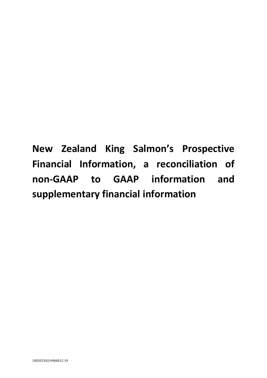**New Zealand King Salmon's Prospective Financial Information, a reconciliation of non-GAAP to GAAP information and supplementary financial information**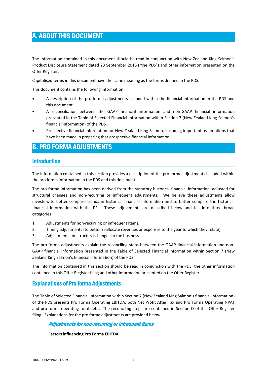# A. ABOUT THIS DOCUMENT

The information contained in this document should be read in conjunction with New Zealand King Salmon's Product Disclosure Statement dated 23 September 2016 ("the PDS") and other information presented on the Offer Register.

Capitalised terms in this document have the same meaning as the terms defined in the PDS.

This document contains the following information:

- A description of the pro forma adjustments included within the financial information in the PDS and this document.
- A reconciliation between the GAAP financial information and non-GAAP financial information presented in the Table of Selected Financial Information within Section 7 (New Zealand King Salmon's financial information) of the PDS.
- Prospective financial information for New Zealand King Salmon, including important assumptions that have been made in preparing that prospective financial information.

# B. PRO FORMA ADJUSTMENTS

### Introduction

The information contained in this section provides a description of the pro forma adjustments included within the pro forma information in the PDS and this document.

The pro forma information has been derived from the statutory historical financial information, adjusted for structural changes and non-recurring or infrequent adjustments. We believe these adjustments allow investors to better compare trends in historical financial information and to better compare the historical financial information with the PFI. These adjustments are described below and fall into three broad categories:

- 1. Adjustments for non-recurring or infrequent items.
- 2. Timing adjustments (to better reallocate revenues or expenses to the year to which they relate).
- 3. Adjustments for structural changes to the business.

The pro forma adjustments explain the reconciling steps between the GAAP financial information and non-GAAP financial information presented in the Table of Selected Financial Information within Section 7 (New Zealand King Salmon's financial information) of the PDS.

The information contained in this section should be read in conjunction with the PDS, the other information contained in this Offer Register filing and other information presented on the Offer Register.

### Explanations of Pro forma Adjustments

The Table of Selected Financial Information within Section 7 (New Zealand King Salmon's financial information) of the PDS presents Pro Forma Operating EBITDA, both Net Profit After Tax and Pro Forma Operating NPAT and pro forma operating total debt. The reconciling steps are contained in Section D of this Offer Register filing. Explanations for the pro forma adjustments are provided below.

### Adjustments for non-recurring or infrequent items

### **Factors influencing Pro Forma EBITDA**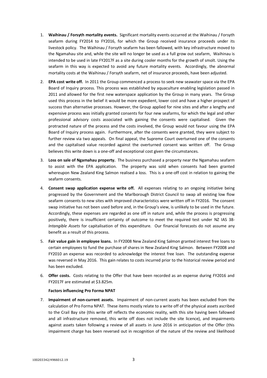- 1. **Waihinau / Forsyth mortality events.** Significant mortality events occurred at the Waihinau / Forsyth seafarm during FY2014 to FY2016, for which the Group received insurance proceeds under its livestock policy. The Waihinau / Forsyth seafarm has been fallowed, with key infrastructure moved to the Ngamahau site and, while the site will no longer be used as a full grow out seafarm, Waihinau is intended to be used in late FY2017F as a site during cooler months for the growth of smolt. Using the seafarm in this way is expected to avoid any future mortality events. Accordingly, the abnormal mortality costs at the Waihinau / Forsyth seafarm, net of insurance proceeds, have been adjusted.
- 2. **EPA cost write off.** In 2011 the Group commenced a process to seek new seawater space via the EPA Board of Inquiry process. This process was established by aquaculture enabling legislation passed in 2011 and allowed for the first new waterspace application by the Group in many years. The Group used this process in the belief it would be more expedient, lower cost and have a higher prospect of success than alternative processes. However, the Group applied for nine sites and after a lengthy and expensive process was initially granted consents for four new seafarms, for which the legal and other professional advisory costs associated with gaining the consents were capitalised. Given the protracted nature of the process and the costs involved, the Group would not favour using the EPA Board of Inquiry process again. Furthermore, after the consents were granted, they were subject to further review via two appeals. On final appeal, the Supreme Court overturned one of the consents and the capitalised value recorded against the overturned consent was written off. The Group believes this write down is a one-off and exceptional cost given the circumstances.
- 3. **Loss on sale of Ngamahau property.** The business purchased a property near the Ngamahau seafarm to assist with the EPA application. The property was sold when consents had been granted whereupon New Zealand King Salmon realised a loss. This is a one-off cost in relation to gaining the seafarm consents.
- 4. **Consent swap application expense write off.** All expenses relating to an ongoing initiative being progressed by the Government and the Marlborough District Council to swap all existing low flow seafarm consents to new sites with improved characteristics were written off in FY2016. The consent swap initiative has not been used before and, in the Group's view, is unlikely to be used in the future. Accordingly, these expenses are regarded as one off in nature and, while the process is progressing positively, there is insufficient certainty of outcome to meet the required test under NZ IAS 38- *Intangible Assets* for capitalisation of this expenditure. Our financial forecasts do not assume any benefit as a result of this process.
- 5. **Fair value gain in employee loans.** In FY2008 New Zealand King Salmon granted interest free loans to certain employees to fund the purchase of shares in New Zealand King Salmon. Between FY2008 and FY2010 an expense was recorded to acknowledge the interest free loan. The outstanding expense was reversed in May 2016. This gain relates to costs incurred prior to the historical review period and has been excluded.
- 6. **Offer costs.** Costs relating to the Offer that have been recorded as an expense during FY2016 and FY2017F are estimated at \$3.825m.

### **Factors influencing Pro Forma NPAT**

7. **Impairment of non-current assets.** Impairment of non-current assets has been excluded from the calculation of Pro Forma NPAT. These items mostly relate to a write off of the physical assets ascribed to the Crail Bay site (this write off reflects the economic reality, with this site having been fallowed and all infrastructure removed, this write off does not include the site licence), and impairments against assets taken following a review of all assets in June 2016 in anticipation of the Offer (this impairment charge has been reversed out in recognition of the nature of the review and likelihood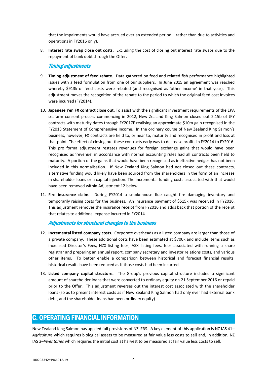that the impairments would have accrued over an extended period – rather than due to activities and operations in FY2016 only).

8. **Interest rate swap close out costs.** Excluding the cost of closing out interest rate swaps due to the repayment of bank debt through the Offer.

### Timing adjustments

- 9. **Timing adjustment of feed rebate.** Data gathered on feed and related fish performance highlighted issues with a feed formulation from one of our suppliers. In June 2015 an agreement was reached whereby \$913k of feed costs were rebated (and recognised as 'other income' in that year). This adjustment moves the recognition of the rebate to the period to which the original feed cost invoices were incurred (FY2014).
- 10. **Japanese Yen FX contract close out.** To assist with the significant investment requirements of the EPA seafarm consent process commencing in 2012, New Zealand King Salmon closed out 2.15b of JPY contracts with maturity dates through FY2017F realising an approximate \$10m gain recognised in the FY2013 Statement of Comprehensive Income. In the ordinary course of New Zealand King Salmon's business, however, FX contracts are held to, or near to, maturity and recognised in profit and loss at that point. The effect of closing out these contracts early was to decrease profits in FY2014 to FY2016. This pro forma adjustment restates revenues for foreign exchange gains that would have been recognised as 'revenue' in accordance with normal accounting rules had all contracts been held to maturity. A portion of the gains that would have been recognised as ineffective hedges has not been included in this normalisation. If New Zealand King Salmon had not closed out these contracts, alternative funding would likely have been sourced from the shareholders in the form of an increase in shareholder loans or a capital injection. The incremental funding costs associated with that would have been removed within Adjustment 12 below.
- 11. **Fire insurance claim.** During FY2014 a smokehouse flue caught fire damaging inventory and temporarily raising costs for the business. An insurance payment of \$515k was received in FY2016. This adjustment removes the insurance receipt from FY2016 and adds back that portion of the receipt that relates to additional expense incurred in FY2014.

### Adjustments for structural changes to the business

- 12. **Incremental listed company costs.** Corporate overheads as a listed company are larger than those of a private company. These additional costs have been estimated at \$700k and include items such as increased Director's Fees, NZX listing fees, ASX listing fees, fees associated with running a share registrar and preparing an annual report, company secretary and investor relations costs, and various other items. To better enable a comparison between historical and forecast financial results, historical results have been reduced as if those costs had been incurred.
- 13. **Listed company capital structure.** The Group's previous capital structure included a significant amount of shareholder loans that were converted to ordinary equity on 21 September 2016 or repaid prior to the Offer. This adjustment reverses out the interest cost associated with the shareholder loans (so as to present interest costs as if New Zealand King Salmon had only ever had external bank debt, and the shareholder loans had been ordinary equity).

# C. OPERATING FINANCIAL INFORMATION

New Zealand King Salmon has applied full provisions of NZ IFRS. A key element of this application is NZ IAS 41– *Agriculture* which requires biological assets to be measured at fair value less costs to sell and, in addition, NZ IAS 2–*Inventories* which requires the initial cost at harvest to be measured at fair value less costs to sell.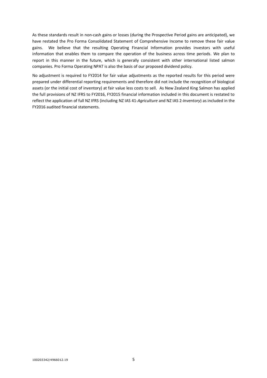As these standards result in non-cash gains or losses (during the Prospective Period gains are anticipated), we have restated the Pro Forma Consolidated Statement of Comprehensive Income to remove these fair value gains. We believe that the resulting Operating Financial Information provides investors with useful information that enables them to compare the operation of the business across time periods. We plan to report in this manner in the future, which is generally consistent with other international listed salmon companies. Pro Forma Operating NPAT is also the basis of our proposed dividend policy.

No adjustment is required to FY2014 for fair value adjustments as the reported results for this period were prepared under differential reporting requirements and therefore did not include the recognition of biological assets (or the initial cost of inventory) at fair value less costs to sell. As New Zealand King Salmon has applied the full provisions of NZ IFRS to FY2016, FY2015 financial information included in this document is restated to reflect the application of full NZ IFRS (including NZ IAS 41-*Agriculture* and NZ IAS 2-*Inventory*) as included in the FY2016 audited financial statements.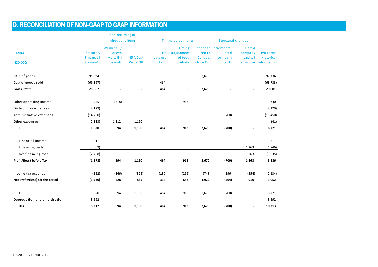# D. RECONCILIATION OF NON-GAAP TO GAAP INFORMATION

|                                  |                   | Non-recurring or<br>infrequent items |                 |           | Timing adjustments   |           | Structural changes             |                   |                       |
|----------------------------------|-------------------|--------------------------------------|-----------------|-----------|----------------------|-----------|--------------------------------|-------------------|-----------------------|
|                                  |                   |                                      |                 |           |                      |           |                                |                   |                       |
| <b>FY2014</b>                    | Statutory         | Waihinau/<br><b>Forsyth</b>          |                 | Fire      | Timing<br>adjustment | Yen FX    | Japanese Incremental<br>listed | Listed<br>company | Pro Forma             |
|                                  | Financial         | Mortality                            | <b>EPA Cost</b> | Insurance | of feed              | Contract  | company                        | capital           | Historical            |
| <b>NZD 000s</b>                  | <b>Statements</b> | events                               | Write Off       | claim     | rebate               | Close Out | costs                          |                   | structure Information |
|                                  |                   |                                      |                 |           |                      |           |                                |                   |                       |
| Sale of goods                    | 95,064            |                                      |                 |           |                      | 2,670     |                                |                   | 97,734                |
| Cost of goods sold               | (69, 197)         |                                      |                 | 464       |                      |           |                                |                   | (68, 733)             |
| <b>Gross Profit</b>              | 25,867            |                                      |                 | 464       |                      | 2,670     |                                |                   | 29,001                |
| Other operating income           | 945               | (518)                                |                 |           | 913                  |           |                                |                   | 1,340                 |
| Distribution expenses            | (8, 129)          |                                      |                 |           |                      |           |                                |                   | (8, 129)              |
| Administrative expenses          | (14, 750)         |                                      |                 |           |                      |           | (700)                          |                   | (15, 450)             |
| Other expenses                   | (2, 313)          | 1,112                                | 1,160           |           |                      |           |                                |                   | (41)                  |
| <b>EBIT</b>                      | 1,620             | 594                                  | 1,160           | 464       | 913                  | 2,670     | (700)                          |                   | 6,721                 |
|                                  |                   |                                      |                 |           |                      |           |                                |                   |                       |
| Financial income                 | 211               |                                      |                 |           |                      |           |                                |                   | 211                   |
| Financing costs                  | (3,009)           |                                      |                 |           |                      |           |                                | 1,263             | (1,746)               |
| Net financing cost               | (2,798)           |                                      |                 |           |                      |           |                                | 1,263             | (1, 535)              |
| Profit/(loss) before Tax         | (1, 178)          | 594                                  | 1,160           | 464       | 913                  | 2,670     | (700)                          | 1,263             | 5,186                 |
| Income tax expense               | (352)             | (166)                                | (325)           | (130)     | (256)                | (748)     | 196                            | (354)             | (2, 134)              |
| Net Profit/(loss) for the period | (1, 530)          | 428                                  | 835             | 334       | 657                  | 1,922     | (504)                          | 910               | 3,052                 |
| EBIT                             | 1,620             | 594                                  | 1,160           | 464       | 913                  | 2,670     | (700)                          |                   | 6,721                 |
| Depreciation and amortisation    | 3,592             |                                      |                 |           |                      |           |                                |                   | 3,592                 |
| <b>EBITDA</b>                    | 5,212             | 594                                  | 1,160           | 464       | 913                  | 2,670     | (700)                          |                   | 10,313                |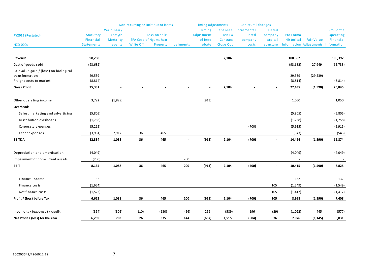|                                                          |                                |                      |           | Non-recurring or infrequent items |                      | <b>Timing adjustments</b> |                       | Structural changes    |                      |            |                                                     |                          |
|----------------------------------------------------------|--------------------------------|----------------------|-----------|-----------------------------------|----------------------|---------------------------|-----------------------|-----------------------|----------------------|------------|-----------------------------------------------------|--------------------------|
| <b>FY2015 (Restated)</b>                                 | Statutory                      | Waihinau/<br>Forsyth |           | Loss on sale                      |                      | Timing<br>adjustment      | Japanese<br>Yen FX    | Incremental<br>listed | Listed<br>company    | Pro Forma  |                                                     | Pro Forma<br>Operating   |
| <b>NZD 000s</b>                                          | Financial<br><b>Statements</b> | Mortality<br>events  | Write Off | <b>EPA Cost of Ngamahau</b>       | Property Impairments | of feed<br>rebate         | Contract<br>Close Out | company<br>costs      | capital<br>structure | Historical | <b>Fair Value</b><br><b>Information Adjustments</b> | Financial<br>Information |
|                                                          |                                |                      |           |                                   |                      |                           |                       |                       |                      |            |                                                     |                          |
| Revenue                                                  | 98,288                         |                      |           |                                   |                      |                           | 2,104                 |                       |                      | 100,392    |                                                     | 100,392                  |
| Cost of goods sold                                       | (93, 682)                      |                      |           |                                   |                      |                           |                       |                       |                      | (93, 682)  | 27,949                                              | (65, 733)                |
| Fair value gain / (loss) on biological<br>transformation | 29,539                         |                      |           |                                   |                      |                           |                       |                       |                      | 29,539     | (29, 539)                                           |                          |
| Freight costs to market                                  | (8, 814)                       |                      |           |                                   |                      |                           |                       |                       |                      | (8, 814)   |                                                     | (8, 814)                 |
| <b>Gross Profit</b>                                      | 25,331                         |                      |           |                                   |                      |                           | 2,104                 |                       |                      | 27,435     | (1,590)                                             | 25,845                   |
| Other operating income                                   | 3,792                          | (1,829)              |           |                                   |                      | (913)                     |                       |                       |                      | 1,050      |                                                     | 1,050                    |
| Overheads                                                |                                |                      |           |                                   |                      |                           |                       |                       |                      |            |                                                     |                          |
| Sales, marketing and advertising                         | (5,805)                        |                      |           |                                   |                      |                           |                       |                       |                      | (5,805)    |                                                     | (5,805)                  |
| Distribution overheads                                   | (1,758)                        |                      |           |                                   |                      |                           |                       |                       |                      | (1,758)    |                                                     | (1,758)                  |
| Corporate expenses                                       | (5,215)                        |                      |           |                                   |                      |                           |                       | (700)                 |                      | (5, 915)   |                                                     | (5, 915)                 |
| Other expenses                                           | (3,961)                        | 2,917                | 36        | 465                               |                      |                           |                       |                       |                      | (543)      |                                                     | (543)                    |
| <b>EBITDA</b>                                            | 12,384                         | 1,088                | 36        | 465                               | $\blacksquare$       | (913)                     | 2,104                 | (700)                 |                      | 14,464     | (1,590)                                             | 12,874                   |
| Depreciation and amortisation                            | (4,049)                        |                      |           |                                   |                      |                           |                       |                       |                      | (4,049)    |                                                     | (4,049)                  |
| Impairment of non-current assets                         | (200)                          |                      |           |                                   | 200                  |                           |                       |                       |                      |            |                                                     |                          |
| <b>EBIT</b>                                              | 8,135                          | 1,088                | 36        | 465                               | 200                  | (913)                     | 2,104                 | (700)                 | $\overline{a}$       | 10,415     | (1,590)                                             | 8,825                    |
| Finance income                                           | 132                            |                      |           |                                   |                      |                           |                       |                       |                      | 132        |                                                     | 132                      |
| Finance costs                                            | (1,654)                        |                      |           |                                   |                      |                           |                       |                       | 105                  | (1, 549)   |                                                     | (1, 549)                 |
| Net finance costs                                        | (1, 522)                       |                      |           |                                   |                      |                           |                       |                       | 105                  | (1, 417)   |                                                     | (1, 417)                 |
| Profit / (loss) before Tax                               | 6,613                          | 1,088                | 36        | 465                               | 200                  | (913)                     | 2,104                 | (700)                 | 105                  | 8,998      | (1, 590)                                            | 7,408                    |
| Income tax (expense) / credit                            | (354)                          | (305)                | (10)      | (130)                             | (56)                 | 256                       | (589)                 | 196                   | (29)                 | (1,022)    | 445                                                 | (577)                    |
| Net Profit / (loss) for the Year                         | 6,259                          | 783                  | 26        | 335                               | 144                  | (657)                     | 1,515                 | (504)                 | 76                   | 7,976      | (1, 145)                                            | 6,831                    |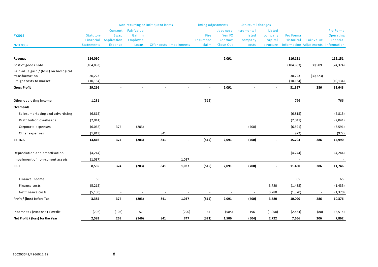|                                           |                        | Non-recurring or infrequent items     |                                          |                                   |                   | Timing adjustments |                                           | Structural changes           |                         |                         |                                     |
|-------------------------------------------|------------------------|---------------------------------------|------------------------------------------|-----------------------------------|-------------------|--------------------|-------------------------------------------|------------------------------|-------------------------|-------------------------|-------------------------------------|
| <b>FY2016</b>                             | Statutory<br>Financial | Consent<br><b>Swap</b><br>Application | <b>Fair Value</b><br>Gain in<br>Employee |                                   | Fire<br>Insurance | Yen FX<br>Contract | Japanese Incremental<br>listed<br>company | Listed<br>company<br>capital | Pro Forma<br>Historical | <b>Fair Value</b>       | Pro Forma<br>Operating<br>Financial |
| <b>NZD 000s</b>                           | <b>Statements</b>      | <b>Expense</b>                        | Loans                                    | Offer costs Impairments           | claim             | Close Out          | costs                                     | structure                    |                         | Information Adjustments | Information                         |
|                                           |                        |                                       |                                          |                                   |                   |                    |                                           |                              |                         |                         |                                     |
| Revenue                                   | 114,060                |                                       |                                          |                                   |                   | 2,091              |                                           |                              | 116,151                 |                         | 116,151                             |
| Cost of goods sold                        | (104, 883)             |                                       |                                          |                                   |                   |                    |                                           |                              | (104, 883)              | 30,509                  | (74, 374)                           |
| Fair value gain / (loss) on biological    |                        |                                       |                                          |                                   |                   |                    |                                           |                              |                         |                         |                                     |
| transformation<br>Freight costs to market | 30,223<br>(10, 134)    |                                       |                                          |                                   |                   |                    |                                           |                              | 30,223<br>(10, 134)     | (30, 223)<br>$\sim$     | (10, 134)                           |
| <b>Gross Profit</b>                       | 29,266                 |                                       |                                          |                                   |                   | 2,091              |                                           |                              |                         | 286                     | 31,643                              |
|                                           |                        |                                       |                                          |                                   |                   |                    |                                           |                              | 31,357                  |                         |                                     |
| Other operating income                    | 1,281                  |                                       |                                          |                                   | (515)             |                    |                                           |                              | 766                     |                         | 766                                 |
| Overheads                                 |                        |                                       |                                          |                                   |                   |                    |                                           |                              |                         |                         |                                     |
| Sales, marketing and advertising          | (6, 815)               |                                       |                                          |                                   |                   |                    |                                           |                              | (6, 815)                |                         | (6, 815)                            |
| Distribution overheads                    | (2,041)                |                                       |                                          |                                   |                   |                    |                                           |                              | (2,041)                 |                         | (2,041)                             |
| Corporate expenses                        | (6,062)                | 374                                   | (203)                                    |                                   |                   |                    | (700)                                     |                              | (6, 591)                |                         | (6, 591)                            |
| Other expenses                            | (1, 813)               |                                       |                                          | 841                               |                   |                    |                                           |                              | (972)                   |                         | (972)                               |
| <b>EBITDA</b>                             | 13,816                 | 374                                   | (203)                                    | 841<br>$\blacksquare$             | (515)             | 2,091              | (700)                                     |                              | 15,704                  | 286                     | 15,990                              |
|                                           |                        |                                       |                                          |                                   |                   |                    |                                           |                              |                         |                         |                                     |
| Depreciation and amortisation             | (4, 244)               |                                       |                                          |                                   |                   |                    |                                           |                              | (4, 244)                |                         | (4, 244)                            |
| Impairment of non-current assets          | (1,037)                |                                       |                                          | 1,037                             |                   |                    |                                           |                              |                         |                         |                                     |
| <b>EBIT</b>                               | 8,535                  | 374                                   | (203)                                    | 841<br>1,037                      | (515)             | 2,091              | (700)                                     | $\blacksquare$               | 11,460                  | 286                     | 11,746                              |
| Finance income                            | 65                     |                                       |                                          |                                   |                   |                    |                                           |                              | 65                      |                         | 65                                  |
|                                           |                        |                                       |                                          |                                   |                   |                    |                                           |                              |                         |                         |                                     |
| Finance costs                             | (5,215)                |                                       |                                          |                                   |                   |                    |                                           | 3,780                        | (1, 435)                |                         | (1, 435)                            |
| Net finance costs                         | (5, 150)               |                                       |                                          |                                   |                   |                    |                                           | 3,780                        | (1, 370)                |                         | (1, 370)                            |
| Profit / (loss) before Tax                | 3,385                  | 374                                   | (203)                                    | 841<br>1,037                      | (515)             | 2,091              | (700)                                     | 3,780                        | 10,090                  | 286                     | 10,376                              |
| Income tax (expense) / credit             | (792)                  | (105)                                 | 57                                       | (290)<br>$\overline{\phantom{a}}$ | 144               | (585)              | 196                                       | (1,058)                      | (2, 434)                | (80)                    | (2,514)                             |
| Net Profit / (loss) for the Year          | 2,593                  | 269                                   | (146)                                    | 841<br>747                        | (371)             | 1,506              | (504)                                     | 2,722                        | 7,656                   | 206                     | 7,862                               |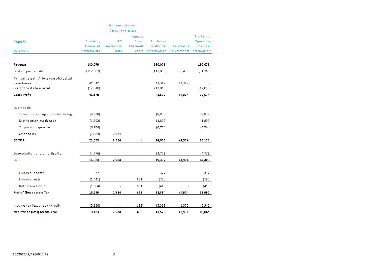|                                                          |            | Non-recurring or      |          |                   |                         |           |
|----------------------------------------------------------|------------|-----------------------|----------|-------------------|-------------------------|-----------|
|                                                          |            | infrequent items      |          |                   |                         |           |
|                                                          |            |                       | Interest |                   |                         | Pro Forma |
| <b>FY2017F</b>                                           | Statutory  | <b>IPO</b>            | Swap     | Pro Forma         |                         | Operating |
|                                                          |            | Financial Transaction | Closeout | <b>Historical</b> | <b>Fair Value</b>       | Financial |
| <b>NZD 000s</b>                                          | Statements | Costs                 | costs    | Information       | Adjustments Information |           |
| Revenue                                                  | 130,079    |                       |          | 130,079           |                         | 130,079   |
| Cost of goods sold                                       | (117, 803) |                       |          | (117, 803)        | 36,438                  | (81, 365) |
| Fair value gain / (loss) on biological<br>transformation | 41,342     |                       |          | 41,342            |                         |           |
| Freight costs to market                                  | (12,040)   |                       |          | (12,040)          | (41, 342)               | (12,040)  |
| <b>Gross Profit</b>                                      | 41,578     |                       |          | 41,578            | (4,904)                 | 36,674    |
|                                                          |            |                       |          |                   |                         |           |
| Overheads                                                |            |                       |          |                   |                         |           |
| Sales, marketing and advertising                         | (8,838)    |                       |          | (8,838)           |                         | (8,838)   |
| Distribution overheads                                   | (1,893)    |                       |          | (1,893)           |                         | (1,893)   |
| Corporate expenses                                       | (6, 764)   |                       |          | (6, 764)          |                         | (6, 764)  |
| Offer costs                                              | (2,984)    | 2,984                 |          |                   |                         |           |
| <b>EBITDA</b>                                            | 21,099     | 2,984                 |          | 24,083            | (4,904)                 | 19,179    |
| Depreciation and amortisation                            | (4, 776)   |                       |          | (4, 776)          |                         | (4, 776)  |
| <b>EBIT</b>                                              | 16,323     | 2,984                 |          | 19,307            | (4,904)                 | 14,403    |
|                                                          |            |                       |          |                   |                         |           |
| Finance income                                           | 377        |                       |          | 377               |                         | 377       |
| Finance costs                                            | (1, 441)   |                       | 651      | (790)             |                         | (790)     |
| Net finance costs                                        | (1,064)    |                       | 651      | (413)             |                         | (413)     |
| Profit / (loss) before Tax                               | 15,259     | 2,984                 | 651      | 18,894            | (4,904)                 | 13,990    |
| Income tax (expense) / credit                            | (5, 136)   |                       | (182)    | (5,318)           | 1,373                   | (3, 945)  |
| Net Profit / (loss) for the Year                         | 10,123     | 2,984                 | 469      | 13,576            | (3,531)                 | 10,045    |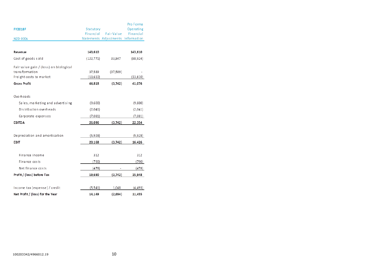|                                        |            |                                    | Pro Forma |
|----------------------------------------|------------|------------------------------------|-----------|
| <b>FY2018F</b>                         | Statutory  |                                    | Operating |
|                                        | Financial  | <b>Fair Value</b>                  | Financial |
| <b>NZD 000s</b>                        |            | Statements Adjustments Information |           |
|                                        |            |                                    |           |
| Revenue                                | 143,610    |                                    | 143,610   |
| Cost of goods sold                     | (122, 771) | 33,847                             | (88, 924) |
| Fair value gain / (loss) on biological |            |                                    |           |
| transformation                         | 37,589     | (37,589)                           |           |
| Freight costs to market                | (13, 610)  |                                    | (13,610)  |
| <b>Gross Profit</b>                    | 44,818     | (3,742)                            | 41,076    |
| Overheads                              |            |                                    |           |
| Sales, marketing and advertising       | (9,600)    |                                    | (9,600)   |
| Distribution overheads                 | (2,041)    |                                    | (2,041)   |
| Corporate expenses                     | (7,081)    |                                    | (7,081)   |
| <b>EBITDA</b>                          | 26,096     | (3,742)                            | 22,354    |
| Depreciation and amortisation          | (5,928)    |                                    | (5,928)   |
|                                        |            |                                    |           |
| <b>EBIT</b>                            | 20,168     | (3,742)                            | 16,426    |
| Finance income                         | 312        |                                    | 312       |
| Finance costs                          | (790)      |                                    | (790)     |
| Net finance costs                      | (478)      |                                    | (478)     |
| Profit / (loss) before Tax             | 19,690     | (3,742)                            | 15,948    |
|                                        |            |                                    |           |
| Income tax (expense) / credit          | (5, 541)   | 1,048                              | (4,493)   |
| Net Profit / (loss) for the Year       | 14,149     | (2,694)                            | 11,455    |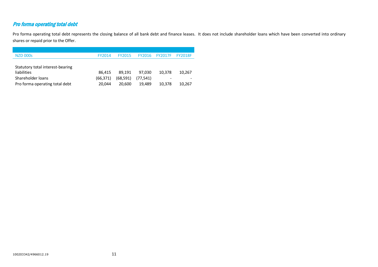# Pro forma operating total debt

Pro forma operating total debt represents the closing balance of all bank debt and finance leases. It does not include shareholder loans which have been converted into ordinary shares or repaid prior to the Offer.

| <b>NZD 000s</b>                  | FY2014   | <b>FY2015</b> | <b>FY2016</b> | <b>FY2017F</b>           | <b>FY2018F</b> |
|----------------------------------|----------|---------------|---------------|--------------------------|----------------|
|                                  |          |               |               |                          |                |
| Statutory total interest-bearing |          |               |               |                          |                |
| <b>liabilities</b>               | 86.415   | 89.191        | 97.030        | 10,378                   | 10.267         |
| Shareholder loans                | (66.371) | (68, 591)     | (77.541)      | $\overline{\phantom{a}}$ |                |
| Pro forma operating total debt   | 20.044   | 20.600        | 19.489        | 10,378                   | 10,267         |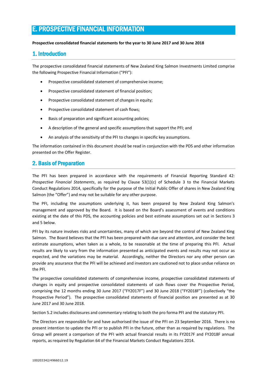# E. PROSPECTIVE FINANCIAL INFORMATION

### **Prospective consolidated financial statements for the year to 30 June 2017 and 30 June 2018**

### 1. Introduction

The prospective consolidated financial statements of New Zealand King Salmon Investments Limited comprise the following Prospective Financial Information ("PFI"):

- Prospective consolidated statement of comprehensive income;
- Prospective consolidated statement of financial position;
- Prospective consolidated statement of changes in equity;
- Prospective consolidated statement of cash flows;
- Basis of preparation and significant accounting policies;
- A description of the general and specific assumptions that support the PFI; and
- An analysis of the sensitivity of the PFI to changes in specific key assumptions.

The information contained in this document should be read in conjunction with the PDS and other information presented on the Offer Register.

### 2. Basis of Preparation

The PFI has been prepared in accordance with the requirements of Financial Reporting Standard 42: *Prospective Financial Statements*, as required by Clause 53(1)(c) of Schedule 3 to the Financial Markets Conduct Regulations 2014, specifically for the purpose of the Initial Public Offer of shares in New Zealand King Salmon (the "Offer") and may not be suitable for any other purpose.

The PFI, including the assumptions underlying it, has been prepared by New Zealand King Salmon's management and approved by the Board. It is based on the Board's assessment of events and conditions existing at the date of this PDS, the accounting policies and best estimate assumptions set out in Sections 3 and 5 below.

PFI by its nature involves risks and uncertainties, many of which are beyond the control of New Zealand King Salmon. The Board believes that the PFI has been prepared with due care and attention, and consider the best estimate assumptions, when taken as a whole, to be reasonable at the time of preparing this PFI. Actual results are likely to vary from the information presented as anticipated events and results may not occur as expected, and the variations may be material. Accordingly, neither the Directors nor any other person can provide any assurance that the PFI will be achieved and investors are cautioned not to place undue reliance on the PFI.

The prospective consolidated statements of comprehensive income, prospective consolidated statements of changes in equity and prospective consolidated statements of cash flows cover the Prospective Period, comprising the 12 months ending 30 June 2017 ("FY2017F") and 30 June 2018 ("FY2018F") (collectively "the Prospective Period"). The prospective consolidated statements of financial position are presented as at 30 June 2017 and 30 June 2018.

Section 5.2 includes disclosures and commentary relating to both the pro forma PFI and the statutory PFI.

The Directors are responsible for and have authorised the issue of the PFI on 23 September 2016. There is no present intention to update the PFI or to publish PFI in the future, other than as required by regulations. The Group will present a comparison of the PFI with actual financial results in its FY2017F and FY2018F annual reports, as required by Regulation 64 of the Financial Markets Conduct Regulations 2014.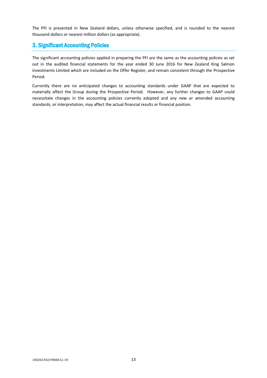The PFI is presented in New Zealand dollars, unless otherwise specified, and is rounded to the nearest thousand dollars or nearest million dollars (as appropriate).

### 3. Significant Accounting Policies

The significant accounting policies applied in preparing the PFI are the same as the accounting policies as set out in the audited financial statements for the year ended 30 June 2016 for New Zealand King Salmon Investments Limited which are included on the Offer Register, and remain consistent through the Prospective Period.

Currently there are no anticipated changes to accounting standards under GAAP that are expected to materially affect the Group during the Prospective Period. However, any further changes to GAAP could necessitate changes in the accounting policies currently adopted and any new or amended accounting standards, or interpretation, may affect the actual financial results or financial position.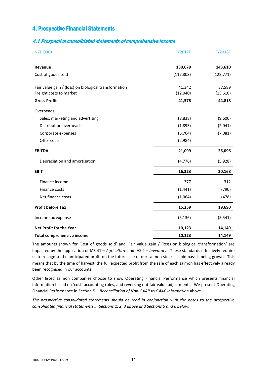### 4. Prospective Financial Statements

### 4.1 Prospective consolidated statements of comprehensive income

| <b>NZD 000s</b>                                       | <b>FY2017F</b> | <b>FY2018F</b> |
|-------------------------------------------------------|----------------|----------------|
|                                                       |                |                |
| Revenue                                               | 130,079        | 143,610        |
| Cost of goods sold                                    | (117, 803)     | (122, 771)     |
| Fair value gain / (loss) on biological transformation | 41,342         | 37,589         |
| Freight costs to market                               | (12,040)       | (13, 610)      |
| <b>Gross Profit</b>                                   | 41,578         | 44,818         |
| Overheads                                             |                |                |
| Sales, marketing and advertising                      | (8,838)        | (9,600)        |
| Distribution overheads                                | (1,893)        | (2,041)        |
| Corporate expenses                                    | (6, 764)       | (7,081)        |
| Offer costs                                           | (2,984)        |                |
| <b>EBITDA</b>                                         | 21,099         | 26,096         |
| Depreciation and amortisation                         | (4, 776)       | (5,928)        |
| <b>EBIT</b>                                           | 16,323         | 20,168         |
| Finance income                                        | 377            | 312            |
| Finance costs                                         | (1, 441)       | (790)          |
| Net finance costs                                     | (1,064)        | (478)          |
| <b>Profit before Tax</b>                              | 15,259         | 19,690         |
| Income tax expense                                    | (5, 136)       | (5, 541)       |
| Net Profit for the Year                               | 10,123         | 14,149         |
| Total comprehensive income                            | 10,123         | 14,149         |

The amounts shown for 'Cost of goods sold' and 'Fair value gain / (loss) on biological transformation' are impacted by the application of IAS 41 – *Agriculture* and IAS 2 – *Inventory*. These standards effectively require us to recognise the anticipated profit on the future sale of our salmon stocks as biomass is being grown. This means that by the time of harvest, the full expected profit from the sale of each salmon has effectively already been recognised in our accounts.

Other listed salmon companies choose to show Operating Financial Performance which presents financial information based on 'cost' accounting rules, and reversing out fair value adjustments. We present Operating Financial Performance in *Section D – Reconciliation of Non-GAAP to GAAP Information* above.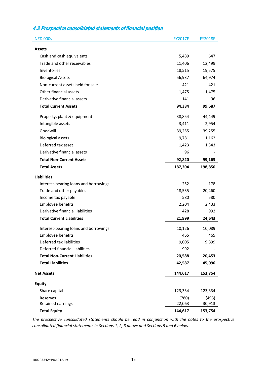### 4.2 Prospective consolidated statements of financial position

| <b>NZD 000s</b>                       | <b>FY2017F</b> | <b>FY2018F</b> |
|---------------------------------------|----------------|----------------|
| <b>Assets</b>                         |                |                |
| Cash and cash equivalents             | 5,489          | 647            |
| Trade and other receivables           | 11,406         | 12,499         |
| Inventories                           | 18,515         | 19,575         |
| <b>Biological Assets</b>              | 56,937         | 64,974         |
| Non-current assets held for sale      | 421            | 421            |
| Other financial assets                | 1,475          | 1,475          |
| Derivative financial assets           | 141            | 96             |
| <b>Total Current Assets</b>           | 94,384         | 99,687         |
| Property, plant & equipment           | 38,854         | 44,449         |
| Intangible assets                     | 3,411          | 2,954          |
| Goodwill                              | 39,255         | 39,255         |
| <b>Biological assets</b>              | 9,781          | 11,162         |
| Deferred tax asset                    | 1,423          | 1,343          |
| Derivative financial assets           | 96             |                |
| <b>Total Non-Current Assets</b>       | 92,820         | 99,163         |
| <b>Total Assets</b>                   | 187,204        | 198,850        |
| <b>Liabilities</b>                    |                |                |
| Interest-bearing loans and borrowings | 252            | 178            |
| Trade and other payables              | 18,535         | 20,460         |
| Income tax payable                    | 580            | 580            |
| Employee benefits                     | 2,204          | 2,433          |
| Derivative financial liabilities      | 428            | 992            |
| <b>Total Current Liabilities</b>      | 21,999         | 24,643         |
| Interest-bearing loans and borrowings | 10,126         | 10,089         |
| Emplovee benefits                     | 465            | 465            |
| Deferred tax liabilities              | 9,005          | 9,899          |
| Deferred financial liabilities        | 992            |                |
| <b>Total Non-Current Liabilities</b>  | 20,588         | 20,453         |
| <b>Total Liabilities</b>              | 42,587         | 45,096         |
| <b>Net Assets</b>                     | 144,617        | 153,754        |
| <b>Equity</b>                         |                |                |
| Share capital                         | 123,334        | 123,334        |
| Reserves                              | (780)          | (493)          |
| Retained earnings                     | 22,063         | 30,913         |
| <b>Total Equity</b>                   | 144,617        | 153,754        |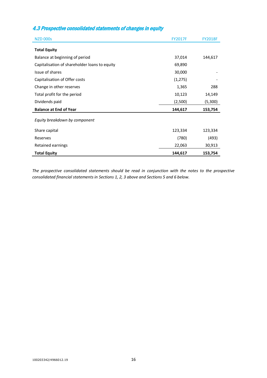### 4.3 Prospective consolidated statements of changes in equity

| <b>NZD 000s</b>                               | <b>FY2017F</b> | <b>FY2018F</b> |
|-----------------------------------------------|----------------|----------------|
| <b>Total Equity</b>                           |                |                |
| Balance at beginning of period                | 37,014         | 144,617        |
| Capitalisation of shareholder loans to equity | 69,890         |                |
| Issue of shares                               | 30,000         |                |
| Capitalisation of Offer costs                 | (1, 275)       |                |
| Change in other reserves                      | 1,365          | 288            |
| Total profit for the period                   | 10,123         | 14,149         |
| Dividends paid                                | (2,500)        | (5,300)        |
| <b>Balance at End of Year</b>                 | 144,617        | 153,754        |
| Equity breakdown by component                 |                |                |
| Share capital                                 | 123,334        | 123,334        |
| Reserves                                      | (780)          | (493)          |
| Retained earnings                             | 22,063         | 30,913         |
| <b>Total Equity</b>                           | 144,617        | 153,754        |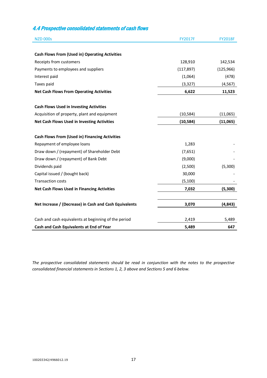## 4.4 Prospective consolidated statements of cash flows

| <b>NZD 000s</b>                                        | <b>FY2017F</b> | <b>FY2018F</b> |
|--------------------------------------------------------|----------------|----------------|
| <b>Cash Flows From (Used in) Operating Activities</b>  |                |                |
| Receipts from customers                                | 128,910        | 142,534        |
| Payments to employees and suppliers                    | (117, 897)     | (125, 966)     |
| Interest paid                                          | (1,064)        | (478)          |
| Taxes paid                                             | (3, 327)       | (4, 567)       |
| <b>Net Cash Flows From Operating Activities</b>        | 6,622          | 11,523         |
| <b>Cash Flows Used in Investing Activities</b>         |                |                |
| Acquisition of property, plant and equipment           | (10, 584)      | (11,065)       |
| <b>Net Cash Flows Used in Investing Activities</b>     | (10, 584)      | (11,065)       |
| <b>Cash Flows From (Used in) Financing Activities</b>  |                |                |
| Repayment of employee loans                            | 1,283          |                |
| Draw down / (repayment) of Shareholder Debt            | (7,651)        |                |
| Draw down / (repayment) of Bank Debt                   | (9,000)        |                |
| Dividends paid                                         | (2,500)        | (5,300)        |
| Capital issued / (bought back)                         | 30,000         |                |
| <b>Transaction costs</b>                               | (5, 100)       |                |
| <b>Net Cash Flows Used in Financing Activities</b>     | 7,032          | (5,300)        |
| Net Increase / (Decrease) in Cash and Cash Equivalents | 3,070          | (4, 843)       |
| Cash and cash equivalents at beginning of the period   | 2,419          | 5,489          |
| Cash and Cash Equivalents at End of Year               | 5,489          | 647            |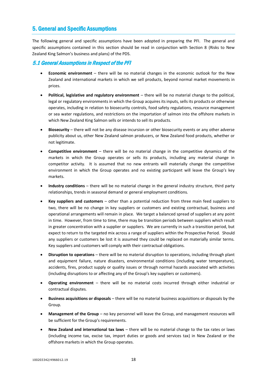### 5. General and Specific Assumptions

The following general and specific assumptions have been adopted in preparing the PFI. The general and specific assumptions contained in this section should be read in conjunction with Section 8 (Risks to New Zealand King Salmon's business and plans) of the PDS.

### 5.1 General Assumptions in Respect of the PFI

- **Economic environment** there will be no material changes in the economic outlook for the New Zealand and international markets in which we sell products, beyond normal market movements in prices.
- **Political, legislative and regulatory environment** there will be no material change to the political, legal or regulatory environments in which the Group acquires its inputs, sells its products or otherwise operates, including in relation to biosecurity controls, food safety regulations, resource management or sea water regulations, and restrictions on the importation of salmon into the offshore markets in which New Zealand King Salmon sells or intends to sell its products.
- **Biosecurity** there will not be any disease incursion or other biosecurity events or any other adverse publicity about us, other New Zealand salmon producers, or New Zealand food products, whether or not legitimate.
- **Competitive environment** there will be no material change in the competitive dynamics of the markets in which the Group operates or sells its products, including any material change in competitor activity. It is assumed that no new entrants will materially change the competitive environment in which the Group operates and no existing participant will leave the Group's key markets.
- **Industry conditions** there will be no material change in the general industry structure, third party relationships, trends in seasonal demand or general employment conditions.
- **Key suppliers and customers** other than a potential reduction from three main feed suppliers to two, there will be no change in key suppliers or customers and existing contractual, business and operational arrangements will remain in place. We target a balanced spread of suppliers at any point in time. However, from time to time, there may be transition periods between suppliers which result in greater concentration with a supplier or suppliers. We are currently in such a transition period, but expect to return to the targeted mix across a range of suppliers within the Prospective Period. Should any suppliers or customers be lost it is assumed they could be replaced on materially similar terms. Key suppliers and customers will comply with their contractual obligations.
- **Disruption to operations** there will be no material disruption to operations, including through plant and equipment failure, nature disasters, environmental conditions (including water temperature), accidents, fires, product supply or quality issues or through normal hazards associated with activities (including disruptions to or affecting any of the Group's key suppliers or customers).
- **Operating environment** there will be no material costs incurred through either industrial or contractual disputes.
- **Business acquisitions or disposals** there will be no material business acquisitions or disposals by the Group.
- **Management of the Group** no key personnel will leave the Group, and management resources will be sufficient for the Group's requirements.
- **New Zealand and international tax laws**  there will be no material change to the tax rates or laws (including income tax, excise tax, import duties or goods and services tax) in New Zealand or the offshore markets in which the Group operates.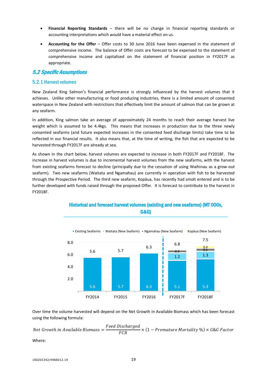- **Financial Reporting Standards**  there will be no change in financial reporting standards or accounting interpretations which would have a material effect on us.
- **Accounting for the Offer** Offer costs to 30 June 2016 have been expensed in the statement of comprehensive income. The balance of Offer costs are forecast to be expensed to the statement of comprehensive income and capitalised on the statement of financial position in FY2017F as appropriate.

### 5.2 Specific Assumptions

### 5.2.1 Harvest volumes

New Zealand King Salmon's financial performance is strongly influenced by the harvest volumes that it achieves. Unlike other manufacturing or food producing industries, there is a limited amount of consented waterspace in New Zealand with restrictions that effectively limit the amount of salmon that can be grown at any seafarm.

In addition, King salmon take an average of approximately 24 months to reach their average harvest live weight which is assumed to be 4.4kgs. This means that increases in production due to the three newly consented seafarms (and future expected increases in the consented feed discharge limits) take time to be reflected in our financial results. It also means that, at the time of writing, the fish that are expected to be harvested through FY2017F are already at sea.

As shown in the chart below, harvest volumes are expected to increase in both FY2017F and FY2018F. The increase in harvest volumes is due to incremental harvest volumes from the new seafarms, with the harvest from existing seafarms forecast to decline (principally due to the cessation of using Waihinau as a grow-out seafarm). Two new seafarms (Waitata and Ngamahau) are currently in operation with fish to be harvested through the Prospective Period. The third new seafarm, Kopāua, has recently had smolt entered and is to be further developed with funds raised through the proposed Offer. It is forecast to contribute to the harvest in FY2018F.



### Historical and forecast harvest volumes (existing and new seafarms) (MT 000s, G&G)

Over time the volume harvested will depend on the Net Growth in Available Biomass which has been forecast using the following formula:

Net Growth in Available Biomass  $=\dfrac{Feed\ Discharged}{FCR} \times (1 - Pre mature\ Mortality\ \%) \times G\&G\ Factor$ 

Where: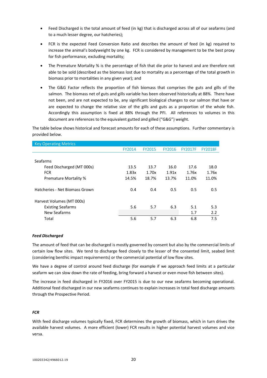- Feed Discharged is the total amount of feed (in kg) that is discharged across all of our seafarms (and to a much lesser degree, our hatcheries);
- FCR is the expected Feed Conversion Ratio and describes the amount of feed (in kg) required to increase the animal's bodyweight by one kg. FCR is considered by management to be the best proxy for fish performance, excluding mortality;
- The Premature Mortality % is the percentage of fish that die prior to harvest and are therefore not able to be sold (described as the biomass lost due to mortality as a percentage of the total growth in biomass prior to mortalities in any given year); and
- The G&G Factor reflects the proportion of fish biomass that comprises the guts and gills of the salmon. The biomass net of guts and gills variable has been observed historically at 88%. There have not been, and are not expected to be, any significant biological changes to our salmon that have or are expected to change the relative size of the gills and guts as a proportion of the whole fish. Accordingly this assumption is fixed at 88% through the PFI. All references to volumes in this document are references to the equivalent gutted and gilled ("G&G") weight.

The table below shows historical and forecast amounts for each of these assumptions. Further commentary is provided below.

| <b>Key Operating Metrics</b>   |               |               |               |                |                |
|--------------------------------|---------------|---------------|---------------|----------------|----------------|
|                                | <b>FY2014</b> | <b>FY2015</b> | <b>FY2016</b> | <b>FY2017F</b> | <b>FY2018F</b> |
|                                |               |               |               |                |                |
| Seafarms                       |               |               |               |                |                |
| Feed Discharged (MT 000s)      | 13.5          | 13.7          | 16.0          | 17.6           | 18.0           |
| <b>FCR</b>                     | 1.83x         | 1.70x         | 1.91x         | 1.76x          | 1.76x          |
| <b>Premature Mortality %</b>   | 14.5%         | 18.7%         | 13.7%         | 11.0%          | 11.0%          |
|                                |               |               |               |                |                |
| Hatcheries - Net Biomass Grown | 0.4           | 0.4           | 0.5           | 0.5            | 0.5            |
|                                |               |               |               |                |                |
| Harvest Volumes (MT 000s)      |               |               |               |                |                |
| <b>Existing Seafarms</b>       | 5.6           | 5.7           | 6.3           | 5.1            | 5.3            |
| New Seafarms                   |               |               |               | 1.7            | 2.2            |
| Total                          | 5.6           | 5.7           | 6.3           | 6.8            | 7.5            |

### *Feed Discharged*

The amount of feed that can be discharged is mostly governed by consent but also by the commercial limits of certain low flow sites. We tend to discharge feed closely to the lesser of the consented limit, seabed limit (considering benthic impact requirements) or the commercial potential of low flow sites.

We have a degree of control around feed discharge (for example if we approach feed limits at a particular seafarm we can slow down the rate of feeding, bring forward a harvest or even move fish between sites).

The increase in feed discharged in FY2016 over FY2015 is due to our new seafarms becoming operational. Additional feed discharged in our new seafarms continues to explain increases in total feed discharge amounts through the Prospective Period.

#### *FCR*

With feed discharge volumes typically fixed, FCR determines the growth of biomass, which in turn drives the available harvest volumes. A more efficient (lower) FCR results in higher potential harvest volumes and vice versa.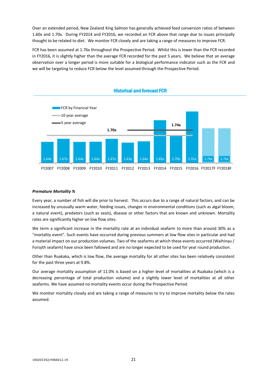Over an extended period, New Zealand King Salmon has generally achieved feed conversion ratios of between 1.60x and 1.70x. During FY2014 and FY2016, we recorded an FCR above that range due to issues principally thought to be related to diet. We monitor FCR closely and are taking a range of measures to improve FCR.

FCR has been assumed at 1.76x throughout the Prospective Period. Whilst this is lower than the FCR recorded in FY2016, it is slightly higher than the average FCR recorded for the past 5 years. We believe that an average observation over a longer period is more suitable for a biological performance indicator such as the FCR and we will be targeting to reduce FCR below the level assumed through the Prospective Period.



### Historical and forecast FCR

### *Premature Mortality %*

Every year, a number of fish will die prior to harvest. This occurs due to a range of natural factors, and can be increased by unusually warm water, feeding issues, changes in environmental conditions (such as algal bloom, a natural event), predators (such as seals), disease or other factors that are known and unknown. Mortality rates are significantly higher on low flow sites.

We term a significant increase in the mortality rate at an individual seafarm to more than around 30% as a "mortality event". Such events have occurred during previous summers at low flow sites in particular and had a material impact on our production volumes. Two of the seafarms at which these events occurred (Waihinau / Forsyth seafarm) have since been fallowed and are no longer expected to be used for year round production.

Other than Ruakaka, which is low flow, the average mortality for all other sites has been relatively consistent for the past three years at 9.8%.

Our average mortality assumption of 11.0% is based on a higher level of mortalities at Ruakaka (which is a decreasing percentage of total production volume) and a slightly lower level of mortalities at all other seafarms. We have assumed no mortality events occur during the Prospective Period.

We monitor mortality closely and are taking a range of measures to try to improve mortality below the rates assumed.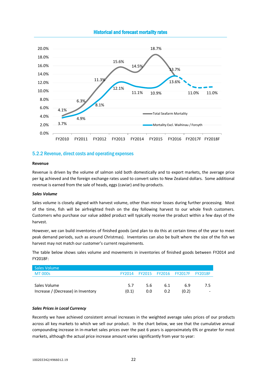

### Historical and forecast mortality rates

### 5.2.2 Revenue, direct costs and operating expenses

#### **Revenue**

Revenue is driven by the volume of salmon sold both domestically and to export markets, the average price per kg achieved and the foreign exchange rates used to convert sales to New Zealand dollars. Some additional revenue is earned from the sale of heads, eggs (caviar) and by-products.

#### *Sales Volume*

Sales volume is closely aligned with harvest volume, other than minor losses during further processing. Most of the time, fish will be airfreighted fresh on the day following harvest to our whole fresh customers. Customers who purchase our value added product will typically receive the product within a few days of the harvest.

However, we can build inventories of finished goods (and plan to do this at certain times of the year to meet peak demand periods, such as around Christmas). Inventories can also be built where the size of the fish we harvest may not match our customer's current requirements.

The table below shows sales volume and movements in inventories of finished goods between FY2014 and FY2018F:

| Sales Volume                       |               |     |     |       |     |
|------------------------------------|---------------|-----|-----|-------|-----|
| <b>MT 000s</b>                     | <b>FY2014</b> |     |     |       |     |
|                                    |               |     |     |       |     |
| Sales Volume                       | 5.7           | 5.6 | 6.1 | 6.9   | 7.5 |
| Increase / (Decrease) in Inventory | (0.1)         | 0.0 | 0.2 | (0.2) |     |

#### *Sales Prices in Local Currency*

Recently we have achieved consistent annual increases in the weighted average sales prices of our products across all key markets to which we sell our product. In the chart below, we see that the cumulative annual compounding increase in in-market sales prices over the past 6 years is approximately 6% or greater for most markets, although the actual price increase amount varies significantly from year to year: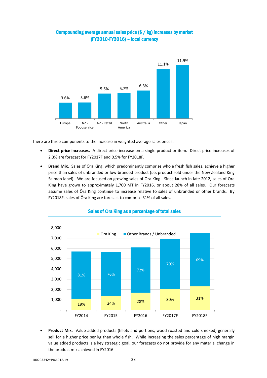

### Compounding average annual sales price (\$ / kg) increases by market (FY2010-FY2016) – local currency

There are three components to the increase in weighted average sales prices:

- **Direct price increases.** A direct price increase on a single product or item. Direct price increases of 2.3% are forecast for FY2017F and 0.5% for FY2018F.
- **Brand Mix.** Sales of Ōra King, which predominantly comprise whole fresh fish sales, achieve a higher price than sales of unbranded or low-branded product (i.e. product sold under the New Zealand King Salmon label). We are focused on growing sales of Ōra King. Since launch in late 2012, sales of Ōra King have grown to approximately 1,700 MT in FY2016, or about 28% of all sales. Our forecasts assume sales of Ōra King continue to increase relative to sales of unbranded or other brands. By FY2018F, sales of Ōra King are forecast to comprise 31% of all sales.



### Sales of **Ō**ra King as a percentage of total sales

 **Product Mix.** Value added products (fillets and portions, wood roasted and cold smoked) generally sell for a higher price per kg than whole fish. While increasing the sales percentage of high margin value added products is a key strategic goal, our forecasts do not provide for any material change in the product mix achieved in FY2016: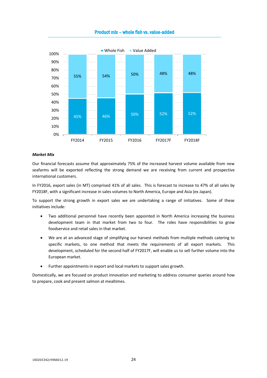

### Product mix – whole fish vs. value-added

### *Market Mix*

Our financial forecasts assume that approximately 75% of the increased harvest volume available from new seafarms will be exported reflecting the strong demand we are receiving from current and prospective international customers.

In FY2016, export sales (in MT) comprised 41% of all sales. This is forecast to increase to 47% of all sales by FY2018F, with a significant increase in sales volumes to North America, Europe and Asia (ex Japan).

To support the strong growth in export sales we are undertaking a range of initiatives. Some of these initiatives include:

- Two additional personnel have recently been appointed in North America increasing the business development team in that market from two to four. The roles have responsibilities to grow foodservice and retail sales in that market.
- We are at an advanced stage of simplifying our harvest methods from multiple methods catering to specific markets, to one method that meets the requirements of all export markets. This development, scheduled for the second half of FY2017F, will enable us to sell further volume into the European market.
- Further appointments in export and local markets to support sales growth.

Domestically, we are focused on product innovation and marketing to address consumer queries around how to prepare, cook and present salmon at mealtimes.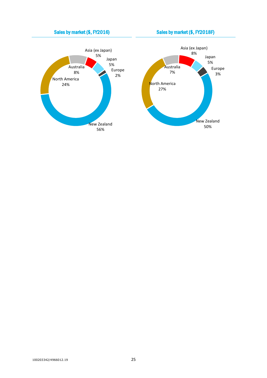

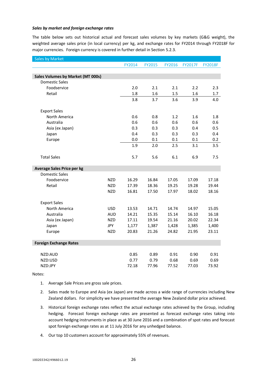### *Sales by market and foreign exchange rates*

The table below sets out historical actual and forecast sales volumes by key markets (G&G weight), the weighted average sales price (in local currency) per kg, and exchange rates for FY2014 through FY2018F for major currencies. Foreign currency is covered in further detail in Section 5.2.3.

| <b>Sales by Market</b>                   |            |        |               |        |                |                |
|------------------------------------------|------------|--------|---------------|--------|----------------|----------------|
|                                          |            | FY2014 | <b>FY2015</b> | FY2016 | <b>FY2017F</b> | <b>FY2018F</b> |
|                                          |            |        |               |        |                |                |
| <b>Sales Volumes by Market (MT 000s)</b> |            |        |               |        |                |                |
| <b>Domestic Sales</b>                    |            |        |               |        |                |                |
| Foodservice                              |            | 2.0    | 2.1           | 2.1    | 2.2            | 2.3            |
| Retail                                   |            | 1.8    | 1.6           | 1.5    | 1.6            | 1.7            |
|                                          |            | 3.8    | 3.7           | 3.6    | 3.9            | 4.0            |
|                                          |            |        |               |        |                |                |
| <b>Export Sales</b>                      |            |        |               |        |                |                |
| North America                            |            | 0.6    | 0.8           | 1.2    | 1.6            | 1.8            |
| Australia                                |            | 0.6    | 0.6           | 0.6    | 0.6            | 0.6            |
| Asia (ex Japan)                          |            | 0.3    | 0.3           | 0.3    | 0.4            | 0.5            |
| Japan                                    |            | 0.4    | 0.3           | 0.3    | 0.3            | 0.4            |
| Europe                                   |            | 0.0    | 0.1           | 0.1    | 0.1            | 0.2            |
|                                          |            | 1.9    | 2.0           | 2.5    | 3.1            | 3.5            |
|                                          |            |        |               |        |                |                |
| <b>Total Sales</b>                       |            | 5.7    | 5.6           | 6.1    | 6.9            | 7.5            |
|                                          |            |        |               |        |                |                |
| <b>Average Sales Price per kg</b>        |            |        |               |        |                |                |
| <b>Domestic Sales</b>                    |            |        |               |        |                |                |
| Foodservice                              | <b>NZD</b> | 16.29  | 16.84         | 17.05  | 17.09          | 17.18          |
| Retail                                   | <b>NZD</b> | 17.39  | 18.36         | 19.25  | 19.28          | 19.44          |
|                                          | <b>NZD</b> | 16.81  | 17.50         | 17.97  | 18.02          | 18.16          |
|                                          |            |        |               |        |                |                |
| <b>Export Sales</b>                      |            |        |               |        |                |                |
| North America                            | <b>USD</b> | 13.53  | 14.71         | 14.74  | 14.97          | 15.05          |
| Australia                                | <b>AUD</b> | 14.21  | 15.35         | 15.14  | 16.10          | 16.18          |
| Asia (ex Japan)                          | <b>NZD</b> | 17.11  | 19.54         | 21.16  | 20.02          | 22.34          |
| Japan                                    | <b>JPY</b> | 1,177  | 1,387         | 1,428  | 1,385          | 1,400          |
| Europe                                   | <b>NZD</b> | 20.83  | 21.26         | 24.82  | 21.95          | 23.11          |
|                                          |            |        |               |        |                |                |
| <b>Foreign Exchange Rates</b>            |            |        |               |        |                |                |
|                                          |            |        |               |        |                |                |
| NZD:AUD                                  |            | 0.85   | 0.89          | 0.91   | 0.90           | 0.91           |
| NZD:USD                                  |            | 0.77   | 0.79          | 0.68   | 0.69           | 0.69           |
| NZD:JPY                                  |            | 72.18  | 77.96         | 77.52  | 77.03          | 73.92          |

Notes:

- 1. Average Sale Prices are gross sale prices.
- 2. Sales made to Europe and Asia (ex Japan) are made across a wide range of currencies including New Zealand dollars. For simplicity we have presented the average New Zealand dollar price achieved.
- 3. Historical foreign exchange rates reflect the actual exchange rates achieved by the Group, including hedging. Forecast foreign exchange rates are presented as forecast exchange rates taking into account hedging instruments in place as at 30 June 2016 and a combination of spot rates and forecast spot foreign exchange rates as at 11 July 2016 for any unhedged balance.
- 4. Our top 10 customers account for approximately 55% of revenues.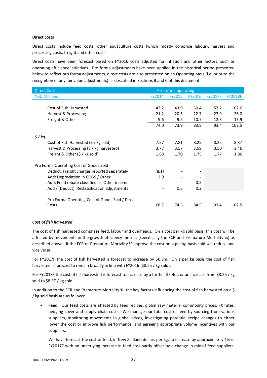### **Direct costs**

Direct costs include feed costs, other aquaculture costs (which mostly comprise labour), harvest and processing costs, freight and other costs.

Direct costs have been forecast based on FY2016 costs adjusted for inflation and other factors, such as operating efficiency initiatives. Pro forma adjustments have been applied in the historical period presented below to reflect pro forma adjustments, direct costs are also presented on an Operating basis (i.e. prior to the recognition of any fair value adjustments) as described in Sections B and C of this document.

| <b>Direct Costs</b>                                        |                          | Pro forma operating |               |                |                |
|------------------------------------------------------------|--------------------------|---------------------|---------------|----------------|----------------|
| <b>NZD Millions</b>                                        | <b>FY2014</b>            | <b>FY2015</b>       | <b>FY2016</b> | <b>FY2017F</b> | <b>FY2018F</b> |
|                                                            |                          |                     |               |                |                |
| Cost of Fish Harvested                                     | 43.2                     | 43.9                | 50.4          | 57.2           | 62.6           |
| Harvest & Processing                                       | 21.2                     | 20.5                | 22.7          | 23.9           | 26.0           |
| Freight & Other                                            | 9.6                      | 9.5                 | 10.7          | 12.3           | 13.9           |
|                                                            | 74.0                     | 73.9                | 83.8          | 93.4           | 102.5          |
|                                                            |                          |                     |               |                |                |
| $\frac{2}{3}$ /kg<br>Cost of Fish Harvested (\$ / kg sold) | 7.57                     | 7.81                | 8.25          | 8.25           | 8.37           |
|                                                            |                          |                     |               |                |                |
| Harvest & Processing (\$ / kg harvested)                   | 3.77                     | 3.57                | 3.59          | 3.50           | 3.46           |
| Freight & Other (\$ / kg sold)                             | 1.68                     | 1.70                | 1.75          | 1.77           | 1.86           |
| Pro Forma Operating Cost of Goods Sold                     |                          |                     |               |                |                |
| Deduct: Freight charges reported separately                | (8.1)                    |                     |               |                |                |
| Add: Depreciation in COGS / Other                          | 2.9                      |                     |               |                |                |
| Add: Feed rebate classified as 'Other income'              | $\overline{\phantom{a}}$ |                     | 0.5           |                |                |
| Add / (Deduct): Reclassification adjustments               | -                        | 0.6                 | 0.2           |                |                |
|                                                            |                          |                     |               |                |                |
| Pro Forma Operating Cost of Goods Sold / Direct            |                          |                     |               |                |                |
| Costs                                                      | 68.7                     | 74.5                | 84.5          | 93.4           | 102.5          |

### *Cost of fish harvested*

The cost of fish harvested comprises feed, labour and overheads. On a cost per kg sold basis, this cost will be affected by movements in the growth efficiency metrics (specifically the FCR and Premature Mortality %) as described above. If the FCR or Premature Mortality % improve the cost on a per kg basis sold will reduce and vice versa.

For FY2017F the cost of fish harvested is forecast to increase by \$6.8m. On a per kg basis the cost of fish harvested is forecast to remain broadly in line with FY2016 (\$8.25 / kg sold).

For FY2018F the cost of fish harvested is forecast to increase by a further \$5.4m, or an increase from \$8.25 / kg sold to \$8.37 / kg sold.

In addition to the FCR and Premature Mortality %, the key factors influencing the cost of fish harvested on a \$ / kg sold basis are as follows:

 **Feed.** Our feed costs are affected by feed recipes, global raw material commodity prices, FX rates, hedging cover and supply chain costs. We manage our total cost of feed by sourcing from various suppliers, monitoring movements in global prices, investigating potential recipe changes to either lower the cost or improve fish performance, and agreeing appropriate volume incentives with our suppliers.

We have forecast the cost of feed, in New Zealand dollars per kg, to increase by approximately 1% in FY2017F with an underlying increase in feed cost partly offset by a change in mix of feed suppliers.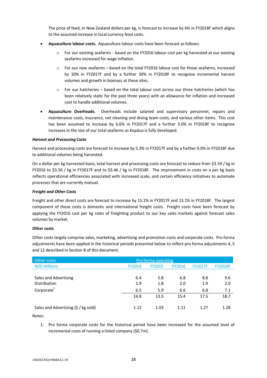The price of feed, in New Zealand dollars per kg, is forecast to increase by 6% in FY2018F which aligns to the assumed increase in local currency feed costs.

- **Aquaculture labour costs.** Aquaculture labour costs have been forecast as follows:
	- $\circ$  For our existing seafarms based on the FY2016 labour cost per kg harvested at our existing seafarms increased for wage inflation.
	- o For our new seafarms based on the total FY2016 labour cost for those seafarms, increased by 10% in FY2017F and by a further 30% in FY2018F to recognise incremental harvest volumes and growth in biomass at these sites.
	- o For our hatcheries based on the total labour cost across our three hatcheries (which has been relatively static for the past three years) with an allowance for inflation and increased cost to handle additional volumes.
- **Aquaculture Overheads.** Overheads include salaried and supervisory personnel, repairs and maintenance costs, insurance, net cleaning and diving team costs, and various other items. This cost has been assumed to increase by 6.6% in FY2017F and a further 3.0% in FY2018F to recognise increases in the size of our total seafarms as Kopāua is fully developed.

### *Harvest and Processing Costs*

Harvest and processing costs are forecast to increase by 5.3% in FY2017F and by a further 9.0% in FY2018F due to additional volumes being harvested.

On a dollar per kg harvested basis, total harvest and processing costs are forecast to reduce from \$3.59 / kg in FY2016 to \$3.50 / kg in FY2017F and to \$3.46 / kg in FY2018F. The improvement in costs on a per kg basis reflects operational efficiencies associated with increased scale, and certain efficiency initiatives to automate processes that are currently manual.

### *Freight and Other Costs*

Freight and other direct costs are forecast to increase by 15.1% in FY2017F and 13.1% in FY2018F. The largest component of these costs is domestic and international freight costs. Freight costs have been forecast by applying the FY2016 cost per kg rates of freighting product to our key sales markets against forecast sales volumes by market.

### **Other costs**

Other costs largely comprise sales, marketing, advertising and promotion costs and corporate costs. Pro forma adjustments have been applied in the historical periods presented below to reflect pro forma adjustments 4, 5 and 12 described in Section B of this document.

| Other costs                          | Pro forma operating |               |               |                |                |
|--------------------------------------|---------------------|---------------|---------------|----------------|----------------|
| <b>NZD Millions</b>                  | FY2014              | <b>FY2015</b> | <b>FY2016</b> | <b>FY2017F</b> | <b>FY2018F</b> |
|                                      |                     |               |               |                |                |
| Sales and Advertising                | 6.4                 | 5.8           | 6.8           | 8.8            | 9.6            |
| <b>Distribution</b>                  | 1.9                 | 1.8           | 2.0           | 1.9            | 2.0            |
| Corporate <sup>1</sup>               | 6.5                 | 5.9           | 6.6           | 6.8            | 7.1            |
|                                      | 14.8                | 13.5          | 15.4          | 17.5           | 18.7           |
|                                      |                     |               |               |                |                |
| Sales and Advertising (\$ / kg sold) | 1.12                | 1.03          | 1.11          | 1.27           | 1.28           |
|                                      |                     |               |               |                |                |

Notes:

1. Pro forma corporate costs for the historical period have been increased for the assumed level of incremental costs of running a listed company (\$0.7m).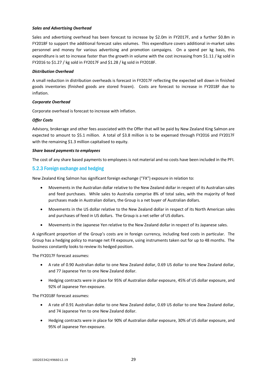#### *Sales and Advertising Overhead*

Sales and advertising overhead has been forecast to increase by \$2.0m in FY2017F, and a further \$0.8m in FY2018F to support the additional forecast sales volumes. This expenditure covers additional in-market sales personnel and money for various advertising and promotion campaigns. On a spend per kg basis, this expenditure is set to increase faster than the growth in volume with the cost increasing from \$1.11 / kg sold in FY2016 to \$1.27 / kg sold in FY2017F and \$1.28 / kg sold in FY2018F.

#### *Distribution Overhead*

A small reduction in distribution overheads is forecast in FY2017F reflecting the expected sell down in finished goods inventories (finished goods are stored frozen). Costs are forecast to increase in FY2018F due to inflation.

#### *Corporate Overhead*

Corporate overhead is forecast to increase with inflation.

#### *Offer Costs*

Advisory, brokerage and other fees associated with the Offer that will be paid by New Zealand King Salmon are expected to amount to \$5.1 million. A total of \$3.8 million is to be expensed through FY2016 and FY2017F with the remaining \$1.3 million capitalised to equity.

#### *Share based payments to employees*

The cost of any share based payments to employees is not material and no costs have been included in the PFI.

### 5.2.3 Foreign exchange and hedging

New Zealand King Salmon has significant foreign exchange ("FX") exposure in relation to:

- Movements in the Australian dollar relative to the New Zealand dollar in respect of its Australian sales and feed purchases. While sales to Australia comprise 8% of total sales, with the majority of feed purchases made in Australian dollars, the Group is a net buyer of Australian dollars.
- Movements in the US dollar relative to the New Zealand dollar in respect of its North American sales and purchases of feed in US dollars. The Group is a net seller of US dollars.
- Movements in the Japanese Yen relative to the New Zealand dollar in respect of its Japanese sales.

A significant proportion of the Group's costs are in foreign currency, including feed costs in particular. The Group has a hedging policy to manage net FX exposure, using instruments taken out for up to 48 months. The business constantly looks to review its hedged position.

The FY2017F forecast assumes:

- A rate of 0.90 Australian dollar to one New Zealand dollar, 0.69 US dollar to one New Zealand dollar, and 77 Japanese Yen to one New Zealand dollar.
- Hedging contracts were in place for 95% of Australian dollar exposure, 45% of US dollar exposure, and 92% of Japanese Yen exposure.

The FY2018F forecast assumes:

- A rate of 0.91 Australian dollar to one New Zealand dollar, 0.69 US dollar to one New Zealand dollar, and 74 Japanese Yen to one New Zealand dollar.
- Hedging contracts were in place for 90% of Australian dollar exposure, 30% of US dollar exposure, and 95% of Japanese Yen exposure.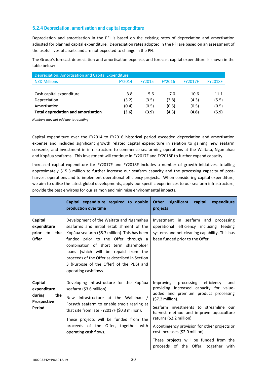### 5.2.4 Depreciation, amortisation and capital expenditure

Depreciation and amortisation in the PFI is based on the existing rates of depreciation and amortisation adjusted for planned capital expenditure. Depreciation rates adopted in the PFI are based on an assessment of the useful lives of assets and are not expected to change in the PFI.

The Group's forecast depreciation and amortisation expense, and forecast capital expenditure is shown in the table below:

| Depreciation, Amortisation and Capital Expenditure |        |               |               |                |                |  |
|----------------------------------------------------|--------|---------------|---------------|----------------|----------------|--|
| <b>NZD Millions</b>                                | FY2014 | <b>FY2015</b> | <b>FY2016</b> | <b>FY2017F</b> | <b>FY2018F</b> |  |
|                                                    |        |               |               |                |                |  |
| Cash capital expenditure                           | 3.8    | 5.6           | 7.0           | 10.6           | 11.1           |  |
| Depreciation                                       | (3.2)  | (3.5)         | (3.8)         | (4.3)          | (5.5)          |  |
| Amortisation                                       | (0.4)  | (0.5)         | (0.5)         | (0.5)          | (0.5)          |  |
| <b>Total depreciation and amortisation</b>         | (3.6)  | (3.9)         | (4.3)         | (4.8)          | (5.9)          |  |

*Numbers may not add due to rounding*

Capital expenditure over the FY2014 to FY2016 historical period exceeded depreciation and amortisation expense and included significant growth related capital expenditure in relation to gaining new seafarm consents, and investment in infrastructure to commence seafarming operations at the Waitata, Ngamahau and Kopāua seafarms. This investment will continue in FY2017F and FY2018F to further expand capacity.

Increased capital expenditure for FY2017F and FY2018F includes a number of growth initiatives, totalling approximately \$15.3 million to further increase our seafarm capacity and the processing capacity of postharvest operations and to implement operational efficiency projects. When considering capital expenditure, we aim to utilise the latest global developments, apply our specific experiences to our seafarm infrastructure, provide the best environs for our salmon and minimise environmental impacts.

|                                                                  | Capital expenditure required to double<br>production over time                                                                                                                                                                                                                                                                                                                     | significant<br><b>Other</b><br>capital<br>expenditure<br>projects                                                                                                                                                                                                                                                                                                                                                                         |
|------------------------------------------------------------------|------------------------------------------------------------------------------------------------------------------------------------------------------------------------------------------------------------------------------------------------------------------------------------------------------------------------------------------------------------------------------------|-------------------------------------------------------------------------------------------------------------------------------------------------------------------------------------------------------------------------------------------------------------------------------------------------------------------------------------------------------------------------------------------------------------------------------------------|
| Capital<br>expenditure<br>prior to<br>the<br><b>Offer</b>        | Development of the Waitata and Ngamahau<br>seafarms and initial establishment of the<br>Kopāua seafarm (\$5.7 million). This has been<br>funded prior to the Offer through a<br>combination of short term shareholder<br>loans (which will be repaid from the<br>proceeds of the Offer as described in Section<br>3 (Purpose of the Offer) of the PDS) and<br>operating cashflows. | Investment in seafarm and processing<br>operational efficiency including feeding<br>systems and net cleaning capability. This has<br>been funded prior to the Offer.                                                                                                                                                                                                                                                                      |
| Capital<br>expenditure<br>during<br>the<br>Prospective<br>Period | Developing infrastructure for the Kopāua<br>seafarm (\$3.6 million).<br>New infrastructure at the Waihinau<br>Forsyth seafarm to enable smolt rearing at<br>that site from late FY2017F (\$0.3 million).<br>These projects will be funded from the<br>proceeds of the Offer, together with<br>operating cash flows.                                                                | Improving<br>processing<br>efficiency<br>and<br>providing increased capacity for value-<br>added and premium product processing<br>$(57.2$ million).<br>Seafarm investments to streamline our<br>harvest method and improve aquaculture<br>returns (\$2.2 million).<br>A contingency provision for other projects or<br>cost increases (\$2.0 million).<br>These projects will be funded from the<br>proceeds of the Offer, together with |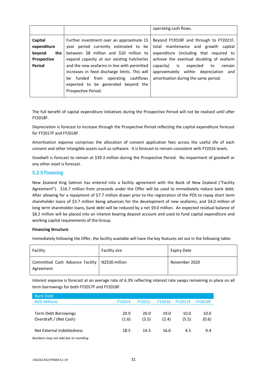|                    |                                               | operating cash flows.                       |
|--------------------|-----------------------------------------------|---------------------------------------------|
|                    |                                               |                                             |
|                    |                                               |                                             |
| Capital            | Further investment over an approximate 15     | Beyond FY2018F and through to FY2021F,      |
|                    |                                               |                                             |
| expenditure        | year period currently estimated to be         | total maintenance and growth capital        |
| beyond<br>the      | between \$8 million and \$10 million to       | expenditure (including that required to     |
| <b>Prospective</b> | expand capacity at our existing hatcheries    | achieve the eventual doubling of seafarm    |
| Period             | and the new seafarms in line with permitted   | is<br>capacity)<br>remain<br>expected<br>to |
|                    | increases in feed discharge limits. This will | approximately<br>within depreciation and    |
|                    | be funded from operating cashflows            | amortisation during the same period.        |
|                    | expected to be generated beyond the           |                                             |
|                    | Prospective Period.                           |                                             |
|                    |                                               |                                             |

The full benefit of capital expenditure initiatives during the Prospective Period will not be realised until after FY2018F.

Depreciation is forecast to increase through the Prospective Period reflecting the capital expenditure forecast for FY2017F and FY2018F.

Amortisation expense comprises the allocation of consent application fees across the useful life of each consent and other intangible assets such as software. It is forecast to remain consistent with FY2016 levels.

Goodwill is forecast to remain at \$39.3 million during the Prospective Period. No impairment of goodwill or any other asset is forecast.

### 5.2.5 Financing

New Zealand King Salmon has entered into a facility agreement with the Bank of New Zealand ("Facility Agreement"). \$16.7 million from proceeds under the Offer will be used to immediately reduce bank debt. After allowing for a repayment of \$7.7 million drawn prior to the registration of the PDS to repay short term shareholder loans of \$3.7 million being advances for the development of new seafarms, and \$4.0 million of long term shareholder loans, bank debt will be reduced by a net \$9.0 million. An expected residual balance of \$8.2 million will be placed into an interest bearing deposit account and used to fund capital expenditure and working capital requirements of the Group.

### **Financing Structure**

Immediately following the Offer, the facility available will have the key features set out in the following table:

| Facility                                                      | Facility size | <b>Expiry Date</b> |
|---------------------------------------------------------------|---------------|--------------------|
| Committed Cash Advance Facility   NZ\$30 million<br>Agreement |               | November 2020      |

Interest expense is forecast at an average rate of 6.3% reflecting interest rate swaps remaining in place on all term borrowings for both FY2017F and FY2018F.

| <b>Bank Debt</b>                                                                                                                                                                                                              |        |               |               |                |                |
|-------------------------------------------------------------------------------------------------------------------------------------------------------------------------------------------------------------------------------|--------|---------------|---------------|----------------|----------------|
| <b>NZD Millions</b>                                                                                                                                                                                                           | FY2014 | <b>FY2015</b> | <b>FY2016</b> | <b>FY2017F</b> | <b>FY2018F</b> |
|                                                                                                                                                                                                                               |        |               |               |                |                |
| Term Debt Borrowings                                                                                                                                                                                                          | 20.0   | 20.0          | 19.0          | 10.0           | 10.0           |
| Overdraft / (Net Cash)                                                                                                                                                                                                        | (1.6)  | (5.5)         | (2.4)         | (5.5)          | (0.6)          |
|                                                                                                                                                                                                                               |        |               |               |                |                |
| Net External Indebtedness                                                                                                                                                                                                     | 18.5   | 14.5          | 16.6          | 4.5            | 9.4            |
| are the contract of the state of the contract of the contract of the contract of the contract of the contract of the contract of the contract of the contract of the contract of the contract of the contract of the contract |        |               |               |                |                |

*Numbers may not add due to rounding*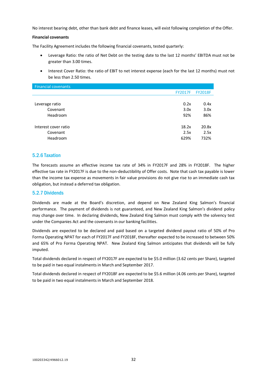No interest bearing debt, other than bank debt and finance leases, will exist following completion of the Offer.

#### **Financial covenants**

The Facility Agreement includes the following financial covenants, tested quarterly:

- Leverage Ratio: the ratio of Net Debt on the testing date to the last 12 months' EBITDA must not be greater than 3.00 times.
- Interest Cover Ratio: the ratio of EBIT to net interest expense (each for the last 12 months) must not be less than 2.50 times.

| <b>FY2017F</b> | <b>FY2018F</b> |
|----------------|----------------|
|                |                |
| 0.2x           | 0.4x           |
| 3.0x           | 3.0x           |
| 92%            | 86%            |
|                |                |
| 18.2x          | 20.8x          |
| 2.5x           | 2.5x           |
| 629%           | 732%           |
|                |                |

### 5.2.6 Taxation

The forecasts assume an effective income tax rate of 34% in FY2017F and 28% in FY2018F. The higher effective tax rate in FY2017F is due to the non-deductibility of Offer costs. Note that cash tax payable is lower than the income tax expense as movements in fair value provisions do not give rise to an immediate cash tax obligation, but instead a deferred tax obligation.

### 5.2.7 Dividends

Dividends are made at the Board's discretion, and depend on New Zealand King Salmon's financial performance. The payment of dividends is not guaranteed, and New Zealand King Salmon's dividend policy may change over time. In declaring dividends, New Zealand King Salmon must comply with the solvency test under the Companies Act and the covenants in our banking facilities.

Dividends are expected to be declared and paid based on a targeted dividend payout ratio of 50% of Pro Forma Operating NPAT for each of FY2017F and FY2018F, thereafter expected to be increased to between 50% and 65% of Pro Forma Operating NPAT. New Zealand King Salmon anticipates that dividends will be fully imputed.

Total dividends declared in respect of FY2017F are expected to be \$5.0 million (3.62 cents per Share), targeted to be paid in two equal instalments in March and September 2017.

Total dividends declared in respect of FY2018F are expected to be \$5.6 million (4.06 cents per Share), targeted to be paid in two equal instalments in March and September 2018.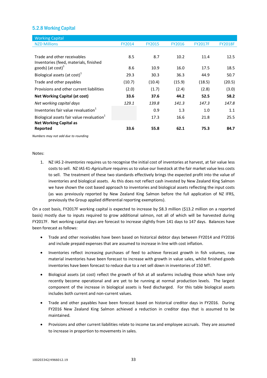### 5.2.8 Working Capital

| <b>Working Capital</b>                                |               |               |               |                |                |
|-------------------------------------------------------|---------------|---------------|---------------|----------------|----------------|
| <b>NZD Millions</b>                                   | <b>FY2014</b> | <b>FY2015</b> | <b>FY2016</b> | <b>FY2017F</b> | <b>FY2018F</b> |
|                                                       |               |               |               |                |                |
| Trade and other receivables                           | 8.5           | 8.7           | 10.2          | 11.4           | 12.5           |
| Inventories (feed, materials, finished                |               |               |               |                |                |
| goods) (at $cost$ ) <sup>1</sup>                      | 8.6           | 10.9          | 16.0          | 17.5           | 18.5           |
| Biological assets (at cost) $1$                       | 29.3          | 30.3          | 36.3          | 44.9           | 50.7           |
| Trade and other payables                              | (10.7)        | (10.4)        | (15.9)        | (18.5)         | (20.5)         |
| Provisions and other current liabilities              | (2.0)         | (1.7)         | (2.4)         | (2.8)          | (3.0)          |
| <b>Net Working Capital (at cost)</b>                  | 33.6          | 37.6          | 44.2          | 52.5           | 58.2           |
| Net working capital days                              | 129.1         | 139.8         | 141.3         | 147.3          | 147.8          |
| Inventories fair value revaluation <sup>1</sup>       |               | 0.9           | 1.3           | 1.0            | 1.1            |
| Biological assets fair value revaluation <sup>1</sup> |               | 17.3          | 16.6          | 21.8           | 25.5           |
| <b>Net Working Capital as</b>                         |               |               |               |                |                |
| Reported                                              | 33.6          | 55.8          | 62.1          | 75.3           | 84.7           |

*Numbers may not add due to rounding*

#### Notes:

1. NZ IAS 2-*Inventories* requires us to recognise the initial cost of inventories at harvest, at fair value less costs to sell. NZ IAS 41-*Agriculture* requires us to value our livestock at the fair market value less costs to sell. The treatment of these two standards effectively brings the expected profit into the value of inventories and biological assets. As this does not reflect cash invested by New Zealand King Salmon we have shown the cost based approach to inventories and biological assets reflecting the input costs (as was previously reported by New Zealand King Salmon before the full application of NZ IFRS, previously the Group applied differential reporting exemptions).

On a cost basis, FY2017F working capital is expected to increase by \$8.3 million (\$13.2 million on a reported basis) mostly due to inputs required to grow additional salmon, not all of which will be harvested during FY2017F. Net working capital days are forecast to increase slightly from 141 days to 147 days. Balances have been forecast as follows:

- Trade and other receivables have been based on historical debtor days between FY2014 and FY2016 and include prepaid expenses that are assumed to increase in line with cost inflation.
- Inventories reflect increasing purchases of feed to achieve forecast growth in fish volumes, raw material inventories have been forecast to increase with growth in value sales, whilst finished goods inventories have been forecast to reduce due to a net sell down in inventories of 150 MT.
- Biological assets (at cost) reflect the growth of fish at all seafarms including those which have only recently become operational and are yet to be running at normal production levels. The largest component of the increase in biological assets is feed discharged. For this table biological assets includes both current and non-current values.
- Trade and other payables have been forecast based on historical creditor days in FY2016. During FY2016 New Zealand King Salmon achieved a reduction in creditor days that is assumed to be maintained.
- Provisions and other current liabilities relate to income tax and employee accruals. They are assumed to increase in proportion to movements in sales.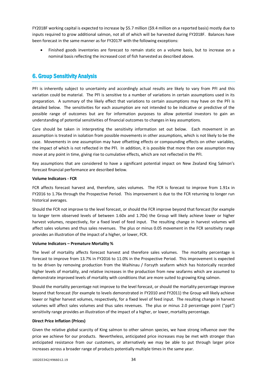FY2018F working capital is expected to increase by \$5.7 million (\$9.4 million on a reported basis) mostly due to inputs required to grow additional salmon, not all of which will be harvested during FY2018F. Balances have been forecast in the same manner as for FY2017F with the following exceptions:

 Finished goods inventories are forecast to remain static on a volume basis, but to increase on a nominal basis reflecting the increased cost of fish harvested as described above.

### 6. Group Sensitivity Analysis

PFI is inherently subject to uncertainty and accordingly actual results are likely to vary from PFI and this variation could be material. The PFI is sensitive to a number of variations in certain assumptions used in its preparation. A summary of the likely effect that variations to certain assumptions may have on the PFI is detailed below. The sensitivities for each assumption are not intended to be indicative or predictive of the possible range of outcomes but are for information purposes to allow potential investors to gain an understanding of potential sensitivities of financial outcomes to changes in key assumptions.

Care should be taken in interpreting the sensitivity information set out below. Each movement in an assumption is treated in isolation from possible movements in other assumptions, which is not likely to be the case. Movements in one assumption may have offsetting effects or compounding effects on other variables, the impact of which is not reflected in the PFI. In addition, it is possible that more than one assumption may move at any point in time, giving rise to cumulative effects, which are not reflected in the PFI.

Key assumptions that are considered to have a significant potential impact on New Zealand King Salmon's forecast financial performance are described below.

### **Volume Indicators - FCR**

FCR affects forecast harvest and, therefore, sales volumes. The FCR is forecast to improve from 1.91x in FY2016 to 1.76x through the Prospective Period. This improvement is due to the FCR returning to longer run historical averages.

Should the FCR not improve to the level forecast, or should the FCR improve beyond that forecast (for example to longer term observed levels of between 1.60x and 1.70x) the Group will likely achieve lower or higher harvest volumes, respectively, for a fixed level of feed input. The resulting change in harvest volumes will affect sales volumes and thus sales revenues. The plus or minus 0.05 movement in the FCR sensitivity range provides an illustration of the impact of a higher, or lower, FCR.

### **Volume Indicators – Premature Mortality %**

The level of mortality affects forecast harvest and therefore sales volumes. The mortality percentage is forecast to improve from 13.7% in FY2016 to 11.0% in the Prospective Period. This improvement is expected to be driven by removing production from the Waihinau / Forsyth seafarm which has historically recorded higher levels of mortality, and relative increases in the production from new seafarms which are assumed to demonstrate improved levels of mortality with conditions that are more suited to growing King salmon.

Should the mortality percentage not improve to the level forecast, or should the mortality percentage improve beyond that forecast (for example to levels demonstrated in FY2010 and FY2011) the Group will likely achieve lower or higher harvest volumes, respectively, for a fixed level of feed input. The resulting change in harvest volumes will affect sales volumes and thus sales revenues. The plus or minus 2.0 percentage point ("ppt") sensitivity range provides an illustration of the impact of a higher, or lower, mortality percentage.

### **Direct Price Inflation (Prices)**

Given the relative global scarcity of King salmon to other salmon species, we have strong influence over the price we achieve for our products. Nevertheless, anticipated price increases may be met with stronger than anticipated resistance from our customers, or alternatively we may be able to put through larger price increases across a broader range of products potentially multiple times in the same year.